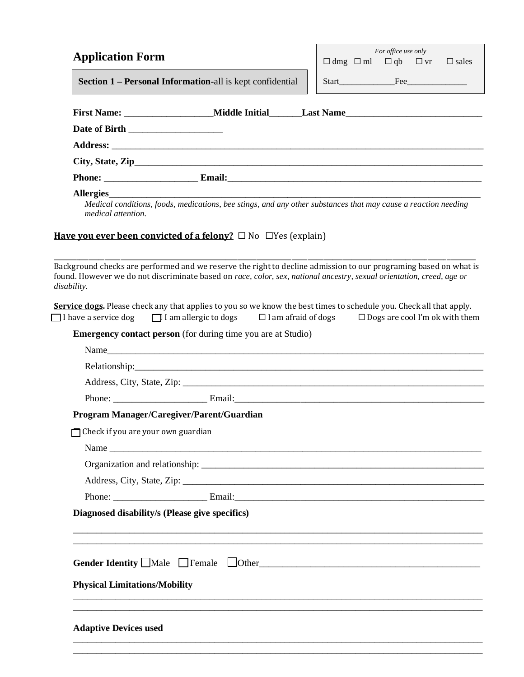| <b>Application Form</b>                                                                                                                                                                                                                                  |  | For office use only | $\Box$ dmg $\Box$ ml $\Box$ qb $\Box$ vr $\Box$ sales |
|----------------------------------------------------------------------------------------------------------------------------------------------------------------------------------------------------------------------------------------------------------|--|---------------------|-------------------------------------------------------|
| Section 1 – Personal Information-all is kept confidential                                                                                                                                                                                                |  |                     |                                                       |
|                                                                                                                                                                                                                                                          |  |                     |                                                       |
|                                                                                                                                                                                                                                                          |  |                     |                                                       |
|                                                                                                                                                                                                                                                          |  |                     |                                                       |
|                                                                                                                                                                                                                                                          |  |                     |                                                       |
| City, State, Zip                                                                                                                                                                                                                                         |  |                     |                                                       |
| Allergies                                                                                                                                                                                                                                                |  |                     |                                                       |
| Medical conditions, foods, medications, bee stings, and any other substances that may cause a reaction needing<br>medical attention.                                                                                                                     |  |                     |                                                       |
| Have you ever been convicted of a felony? $\square$ No $\square$ Yes (explain)                                                                                                                                                                           |  |                     |                                                       |
| Background checks are performed and we reserve the right to decline admission to our programing based on what is<br>found. However we do not discriminate based on race, color, sex, national ancestry, sexual orientation, creed, age or<br>disability. |  |                     |                                                       |
| Service dogs. Please check any that applies to you so we know the best times to schedule you. Check all that apply.<br>I have a service dog $\Box$ I am allergic to dogs $\Box$ I am afraid of dogs $\Box$ Dogs are cool I'm ok with them                |  |                     |                                                       |
| <b>Emergency contact person</b> (for during time you are at Studio)                                                                                                                                                                                      |  |                     |                                                       |
| Name                                                                                                                                                                                                                                                     |  |                     |                                                       |
|                                                                                                                                                                                                                                                          |  |                     |                                                       |
|                                                                                                                                                                                                                                                          |  |                     |                                                       |
|                                                                                                                                                                                                                                                          |  |                     |                                                       |
| Program Manager/Caregiver/Parent/Guardian                                                                                                                                                                                                                |  |                     |                                                       |
| Check if you are your own guardian                                                                                                                                                                                                                       |  |                     |                                                       |
|                                                                                                                                                                                                                                                          |  |                     |                                                       |
|                                                                                                                                                                                                                                                          |  |                     |                                                       |
|                                                                                                                                                                                                                                                          |  |                     |                                                       |
|                                                                                                                                                                                                                                                          |  |                     |                                                       |
| Diagnosed disability/s (Please give specifics)                                                                                                                                                                                                           |  |                     |                                                       |
|                                                                                                                                                                                                                                                          |  |                     |                                                       |
| Gender Identity $\Box$ Male $\Box$ Female $\Box$ Other                                                                                                                                                                                                   |  |                     |                                                       |
| <b>Physical Limitations/Mobility</b>                                                                                                                                                                                                                     |  |                     |                                                       |
|                                                                                                                                                                                                                                                          |  |                     |                                                       |
| <b>Adaptive Devices used</b>                                                                                                                                                                                                                             |  |                     |                                                       |
|                                                                                                                                                                                                                                                          |  |                     |                                                       |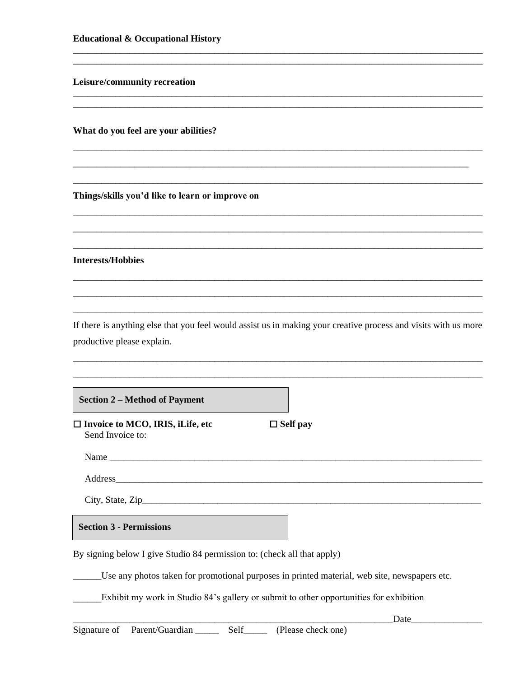Leisure/community recreation

What do you feel are your abilities?

Things/skills you'd like to learn or improve on

**Interests/Hobbies** 

If there is anything else that you feel would assist us in making your creative process and visits with us more productive please explain.

 $\Box$  Self pay

**Section 2 – Method of Payment** 

 $\Box$  Invoice to MCO, IRIS, iLife, etc Send Invoice to:

Name

Address and the state of the state of the state of the state of the state of the state of the state of the state of the state of the state of the state of the state of the state of the state of the state of the state of th

**Section 3 - Permissions** 

By signing below I give Studio 84 permission to: (check all that apply)

Use any photos taken for promotional purposes in printed material, web site, newspapers etc.

Exhibit my work in Studio 84's gallery or submit to other opportunities for exhibition

 $\text{Date}$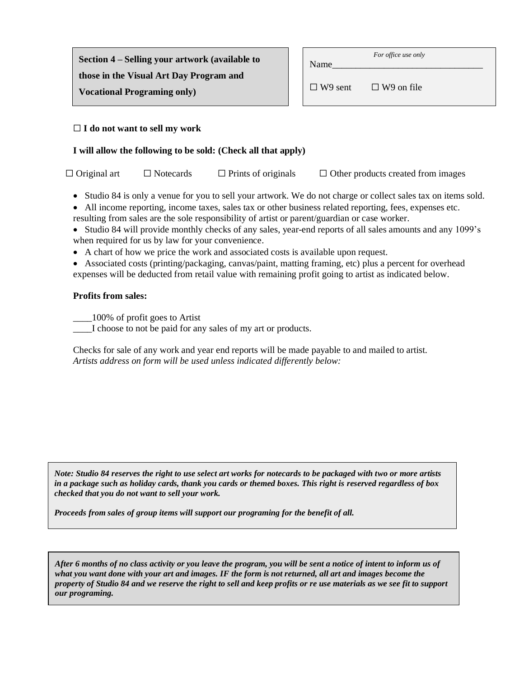| Section 4 – Selling your artwork (available to<br>those in the Visual Art Day Program and |  | Name           | For office use only |  |
|-------------------------------------------------------------------------------------------|--|----------------|---------------------|--|
|                                                                                           |  | $\Box$ W9 sent | $\Box$ W9 on file   |  |
| <b>Vocational Programing only)</b>                                                        |  |                |                     |  |

### ☐ **I do not want to sell my work**

## **I will allow the following to be sold: (Check all that apply)**

| $\Box$ Original art | $\Box$ Notecards | $\Box$ Prints of originals | $\Box$ Other products created from images |
|---------------------|------------------|----------------------------|-------------------------------------------|
|                     |                  |                            |                                           |

- Studio 84 is only a venue for you to sell your artwork. We do not charge or collect sales tax on items sold.
- All income reporting, income taxes, sales tax or other business related reporting, fees, expenses etc.
- resulting from sales are the sole responsibility of artist or parent/guardian or case worker.
- Studio 84 will provide monthly checks of any sales, year-end reports of all sales amounts and any 1099's when required for us by law for your convenience.
- A chart of how we price the work and associated costs is available upon request.
- Associated costs (printing/packaging, canvas/paint, matting framing, etc) plus a percent for overhead expenses will be deducted from retail value with remaining profit going to artist as indicated below.

### **Profits from sales:**

\_\_\_\_100% of profit goes to Artist

\_\_\_\_I choose to not be paid for any sales of my art or products.

Checks for sale of any work and year end reports will be made payable to and mailed to artist. *Artists address on form will be used unless indicated differently below:*

*Note: Studio 84 reserves the right to use select art works for notecards to be packaged with two or more artists in a package such as holiday cards, thank you cards or themed boxes. This right is reserved regardless of box checked that you do not want to sell your work.*

*Proceeds from sales of group items will support our programing for the benefit of all.*

*After 6 months of no class activity or you leave the program, you will be sent a notice of intent to inform us of what you want done with your art and images. IF the form is not returned, all art and images become the property of Studio 84 and we reserve the right to sell and keep profits or re use materials as we see fit to support our programing.*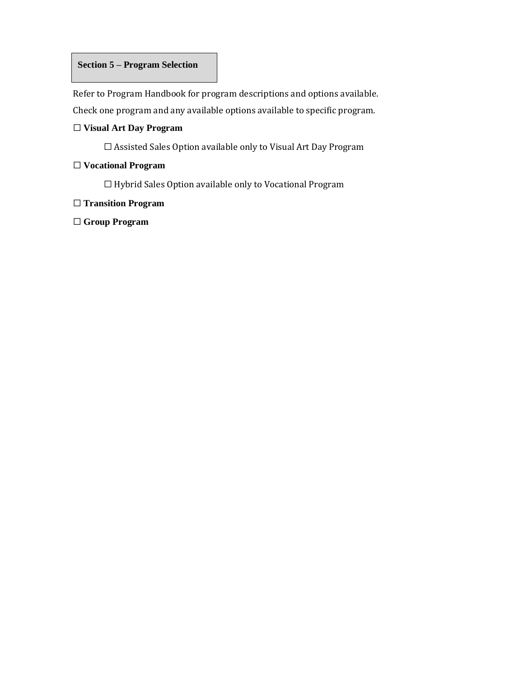## **Section 5 – Program Selection**

Refer to Program Handbook for program descriptions and options available. Check one program and any available options available to specific program.

# ☐ **Visual Art Day Program**

□ Assisted Sales Option available only to Visual Art Day Program

# ☐ **Vocational Program**

☐ Hybrid Sales Option available only to Vocational Program

## ☐ **Transition Program**

☐ **Group Program**